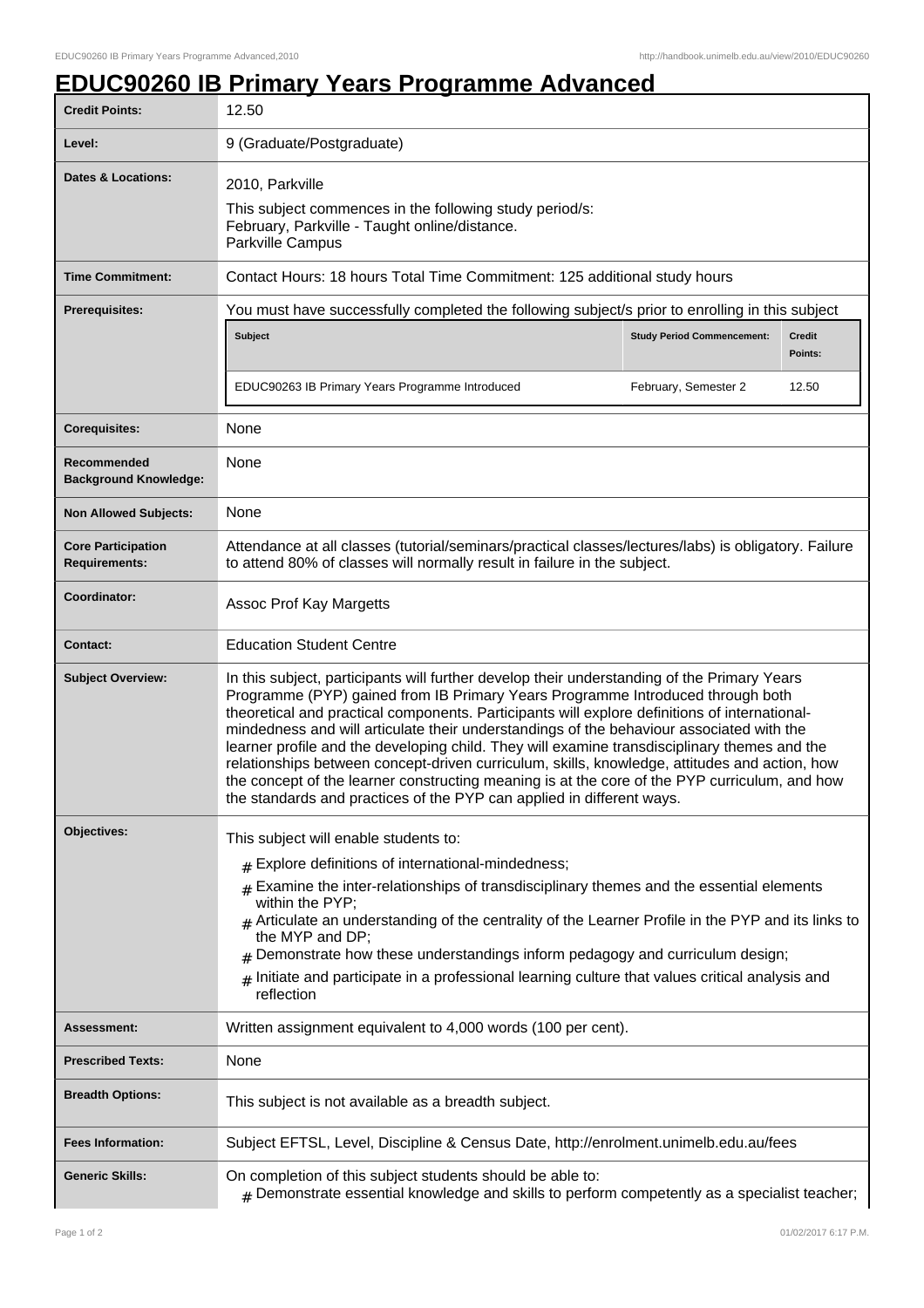## **EDUC90260 IB Primary Years Programme Advanced**

| <b>Credit Points:</b>                             | 12.50                                                                                                                                                                                                                                                                                                                                                                                                                                                                                                                                                                                                                                                                                                                                                 |                                   |                          |  |
|---------------------------------------------------|-------------------------------------------------------------------------------------------------------------------------------------------------------------------------------------------------------------------------------------------------------------------------------------------------------------------------------------------------------------------------------------------------------------------------------------------------------------------------------------------------------------------------------------------------------------------------------------------------------------------------------------------------------------------------------------------------------------------------------------------------------|-----------------------------------|--------------------------|--|
| Level:                                            | 9 (Graduate/Postgraduate)                                                                                                                                                                                                                                                                                                                                                                                                                                                                                                                                                                                                                                                                                                                             |                                   |                          |  |
| <b>Dates &amp; Locations:</b>                     | 2010, Parkville<br>This subject commences in the following study period/s:<br>February, Parkville - Taught online/distance.<br>Parkville Campus                                                                                                                                                                                                                                                                                                                                                                                                                                                                                                                                                                                                       |                                   |                          |  |
| <b>Time Commitment:</b>                           | Contact Hours: 18 hours Total Time Commitment: 125 additional study hours                                                                                                                                                                                                                                                                                                                                                                                                                                                                                                                                                                                                                                                                             |                                   |                          |  |
| Prerequisites:                                    | You must have successfully completed the following subject/s prior to enrolling in this subject                                                                                                                                                                                                                                                                                                                                                                                                                                                                                                                                                                                                                                                       |                                   |                          |  |
|                                                   | Subject                                                                                                                                                                                                                                                                                                                                                                                                                                                                                                                                                                                                                                                                                                                                               | <b>Study Period Commencement:</b> | <b>Credit</b><br>Points: |  |
|                                                   | EDUC90263 IB Primary Years Programme Introduced                                                                                                                                                                                                                                                                                                                                                                                                                                                                                                                                                                                                                                                                                                       | February, Semester 2              | 12.50                    |  |
| <b>Corequisites:</b>                              | None                                                                                                                                                                                                                                                                                                                                                                                                                                                                                                                                                                                                                                                                                                                                                  |                                   |                          |  |
| Recommended<br><b>Background Knowledge:</b>       | None                                                                                                                                                                                                                                                                                                                                                                                                                                                                                                                                                                                                                                                                                                                                                  |                                   |                          |  |
| <b>Non Allowed Subjects:</b>                      | None                                                                                                                                                                                                                                                                                                                                                                                                                                                                                                                                                                                                                                                                                                                                                  |                                   |                          |  |
| <b>Core Participation</b><br><b>Requirements:</b> | Attendance at all classes (tutorial/seminars/practical classes/lectures/labs) is obligatory. Failure<br>to attend 80% of classes will normally result in failure in the subject.                                                                                                                                                                                                                                                                                                                                                                                                                                                                                                                                                                      |                                   |                          |  |
| Coordinator:                                      | Assoc Prof Kay Margetts                                                                                                                                                                                                                                                                                                                                                                                                                                                                                                                                                                                                                                                                                                                               |                                   |                          |  |
| <b>Contact:</b>                                   | <b>Education Student Centre</b>                                                                                                                                                                                                                                                                                                                                                                                                                                                                                                                                                                                                                                                                                                                       |                                   |                          |  |
| <b>Subject Overview:</b>                          | In this subject, participants will further develop their understanding of the Primary Years<br>Programme (PYP) gained from IB Primary Years Programme Introduced through both<br>theoretical and practical components. Participants will explore definitions of international-<br>mindedness and will articulate their understandings of the behaviour associated with the<br>learner profile and the developing child. They will examine transdisciplinary themes and the<br>relationships between concept-driven curriculum, skills, knowledge, attitudes and action, how<br>the concept of the learner constructing meaning is at the core of the PYP curriculum, and how<br>the standards and practices of the PYP can applied in different ways. |                                   |                          |  |
| <b>Objectives:</b>                                | This subject will enable students to:                                                                                                                                                                                                                                                                                                                                                                                                                                                                                                                                                                                                                                                                                                                 |                                   |                          |  |
|                                                   | $#$ Explore definitions of international-mindedness;                                                                                                                                                                                                                                                                                                                                                                                                                                                                                                                                                                                                                                                                                                  |                                   |                          |  |
|                                                   | Examine the inter-relationships of transdisciplinary themes and the essential elements<br>#<br>within the PYP;<br>Articulate an understanding of the centrality of the Learner Profile in the PYP and its links to<br>the MYP and DP;                                                                                                                                                                                                                                                                                                                                                                                                                                                                                                                 |                                   |                          |  |
|                                                   | Demonstrate how these understandings inform pedagogy and curriculum design;<br>Initiate and participate in a professional learning culture that values critical analysis and<br>#<br>reflection                                                                                                                                                                                                                                                                                                                                                                                                                                                                                                                                                       |                                   |                          |  |
| Assessment:                                       | Written assignment equivalent to 4,000 words (100 per cent).                                                                                                                                                                                                                                                                                                                                                                                                                                                                                                                                                                                                                                                                                          |                                   |                          |  |
| <b>Prescribed Texts:</b>                          | None                                                                                                                                                                                                                                                                                                                                                                                                                                                                                                                                                                                                                                                                                                                                                  |                                   |                          |  |
| <b>Breadth Options:</b>                           | This subject is not available as a breadth subject.                                                                                                                                                                                                                                                                                                                                                                                                                                                                                                                                                                                                                                                                                                   |                                   |                          |  |
| <b>Fees Information:</b>                          | Subject EFTSL, Level, Discipline & Census Date, http://enrolment.unimelb.edu.au/fees                                                                                                                                                                                                                                                                                                                                                                                                                                                                                                                                                                                                                                                                  |                                   |                          |  |
| <b>Generic Skills:</b>                            | On completion of this subject students should be able to:<br>$#$ Demonstrate essential knowledge and skills to perform competently as a specialist teacher;                                                                                                                                                                                                                                                                                                                                                                                                                                                                                                                                                                                           |                                   |                          |  |